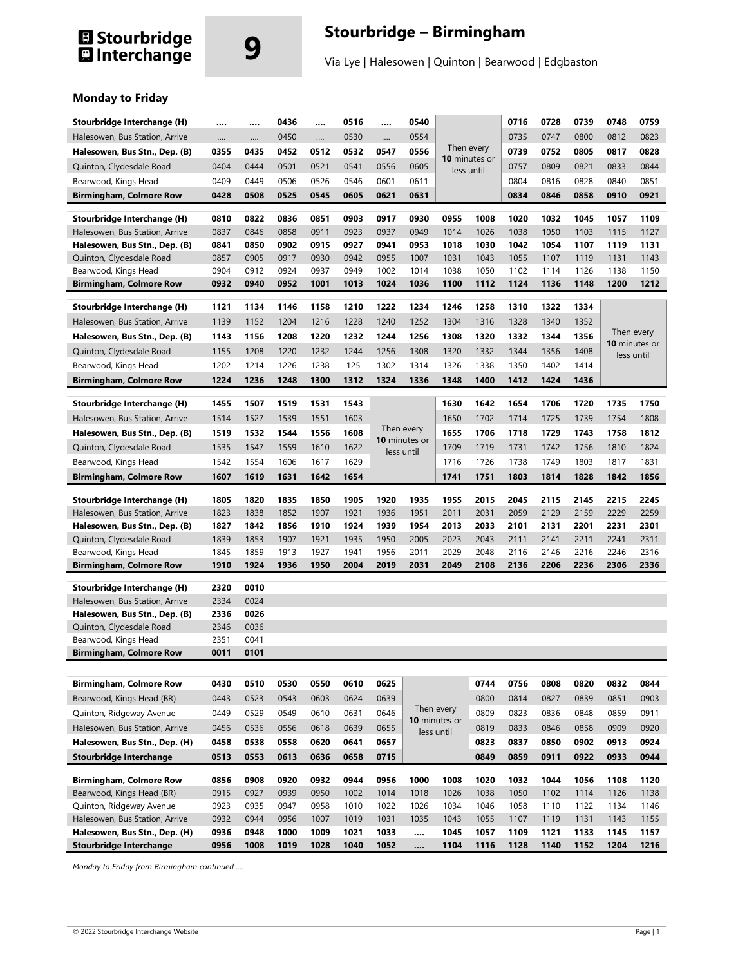# **El Stourbridge**<br>**El** Interchange

## **9 Stourbridge – Birmingham**

Via Lye | Halesowen | Quinton | Bearwood | Edgbaston

### **Monday to Friday**

| Stourbridge Interchange (H)                                 |              |              | 0436         |              | 0516         |              | 0540          |                             |                             | 0716         | 0728         | 0739         | 0748         | 0759          |
|-------------------------------------------------------------|--------------|--------------|--------------|--------------|--------------|--------------|---------------|-----------------------------|-----------------------------|--------------|--------------|--------------|--------------|---------------|
| Halesowen, Bus Station, Arrive                              |              |              | 0450         |              | 0530         |              | 0554          |                             |                             | 0735         | 0747         | 0800         | 0812         | 0823          |
| Halesowen, Bus Stn., Dep. (B)                               | 0355         | 0435         | 0452         | 0512         | 0532         | 0547         | 0556          |                             | Then every                  | 0739         | 0752         | 0805         | 0817         | 0828          |
| Quinton, Clydesdale Road                                    | 0404         | 0444         | 0501         | 0521         | 0541         | 0556         | 0605          |                             | 10 minutes or<br>less until | 0757         | 0809         | 0821         | 0833         | 0844          |
| Bearwood, Kings Head                                        | 0409         | 0449         | 0506         | 0526         | 0546         | 0601         | 0611          |                             |                             | 0804         | 0816         | 0828         | 0840         | 0851          |
| <b>Birmingham, Colmore Row</b>                              | 0428         | 0508         | 0525         | 0545         | 0605         | 0621         | 0631          |                             |                             | 0834         | 0846         | 0858         | 0910         | 0921          |
|                                                             |              |              |              |              |              |              |               |                             |                             |              |              |              |              |               |
| Stourbridge Interchange (H)                                 | 0810         | 0822         | 0836         | 0851         | 0903         | 0917         | 0930          | 0955                        | 1008                        | 1020         | 1032         | 1045         | 1057         | 1109          |
| Halesowen, Bus Station, Arrive                              | 0837         | 0846         | 0858         | 0911         | 0923         | 0937         | 0949<br>0953  | 1014<br>1018                | 1026                        | 1038         | 1050         | 1103         | 1115         | 1127          |
| Halesowen, Bus Stn., Dep. (B)<br>Quinton, Clydesdale Road   | 0841<br>0857 | 0850<br>0905 | 0902<br>0917 | 0915<br>0930 | 0927<br>0942 | 0941<br>0955 | 1007          | 1031                        | 1030<br>1043                | 1042<br>1055 | 1054<br>1107 | 1107<br>1119 | 1119<br>1131 | 1131<br>1143  |
| Bearwood, Kings Head                                        | 0904         | 0912         | 0924         | 0937         | 0949         | 1002         | 1014          | 1038                        | 1050                        | 1102         | 1114         | 1126         | 1138         | 1150          |
| <b>Birmingham, Colmore Row</b>                              | 0932         | 0940         | 0952         | 1001         | 1013         | 1024         | 1036          | 1100                        | 1112                        | 1124         | 1136         | 1148         | 1200         | 1212          |
|                                                             |              |              |              |              |              |              |               |                             |                             |              |              |              |              |               |
| Stourbridge Interchange (H)                                 | 1121         | 1134         | 1146         | 1158         | 1210         | 1222         | 1234          | 1246                        | 1258                        | 1310         | 1322         | 1334         |              |               |
| Halesowen, Bus Station, Arrive                              | 1139         | 1152         | 1204         | 1216         | 1228         | 1240         | 1252          | 1304                        | 1316                        | 1328         | 1340         | 1352         |              |               |
| Halesowen, Bus Stn., Dep. (B)                               | 1143         | 1156         | 1208         | 1220         | 1232         | 1244         | 1256          | 1308                        | 1320                        | 1332         | 1344         | 1356         | Then every   | 10 minutes or |
| Quinton, Clydesdale Road                                    | 1155         | 1208         | 1220         | 1232         | 1244         | 1256         | 1308          | 1320                        | 1332                        | 1344         | 1356         | 1408         | less until   |               |
| Bearwood, Kings Head                                        | 1202         | 1214         | 1226         | 1238         | 125          | 1302         | 1314          | 1326                        | 1338                        | 1350         | 1402         | 1414         |              |               |
| <b>Birmingham, Colmore Row</b>                              | 1224         | 1236         | 1248         | 1300         | 1312         | 1324         | 1336          | 1348                        | 1400                        | 1412         | 1424         | 1436         |              |               |
|                                                             |              |              |              |              |              |              |               |                             |                             |              |              |              |              |               |
| Stourbridge Interchange (H)                                 | 1455         | 1507         | 1519         | 1531         | 1543         |              |               | 1630                        | 1642                        | 1654         | 1706         | 1720         | 1735         | 1750          |
| Halesowen, Bus Station, Arrive                              | 1514         | 1527         | 1539         | 1551         | 1603         |              | Then every    | 1650                        | 1702                        | 1714         | 1725         | 1739         | 1754         | 1808          |
| Halesowen, Bus Stn., Dep. (B)                               | 1519         | 1532         | 1544         | 1556         | 1608         |              | 10 minutes or | 1655                        | 1706                        | 1718         | 1729         | 1743         | 1758         | 1812          |
| Quinton, Clydesdale Road                                    | 1535         | 1547         | 1559         | 1610         | 1622         |              | less until    | 1709                        | 1719                        | 1731         | 1742         | 1756         | 1810         | 1824          |
| Bearwood, Kings Head                                        | 1542         | 1554         | 1606         | 1617         | 1629         |              |               | 1716                        | 1726                        | 1738         | 1749         | 1803         | 1817         | 1831          |
| <b>Birmingham, Colmore Row</b>                              | 1607         | 1619         | 1631         | 1642         | 1654         |              |               | 1741                        | 1751                        | 1803         | 1814         | 1828         | 1842         | 1856          |
| Stourbridge Interchange (H)                                 | 1805         | 1820         | 1835         | 1850         | 1905         | 1920         | 1935          | 1955                        | 2015                        | 2045         | 2115         | 2145         | 2215         | 2245          |
| Halesowen, Bus Station, Arrive                              | 1823         | 1838         | 1852         | 1907         | 1921         | 1936         | 1951          | 2011                        | 2031                        | 2059         | 2129         | 2159         | 2229         | 2259          |
| Halesowen, Bus Stn., Dep. (B)                               | 1827         | 1842         | 1856         | 1910         | 1924         | 1939         | 1954          | 2013                        | 2033                        | 2101         | 2131         | 2201         | 2231         | 2301          |
| Quinton, Clydesdale Road                                    | 1839         | 1853         | 1907         | 1921         | 1935         | 1950         | 2005          | 2023                        | 2043                        | 2111         | 2141         | 2211         | 2241         | 2311          |
| Bearwood, Kings Head                                        | 1845         | 1859         | 1913         | 1927         | 1941         | 1956         | 2011          | 2029                        | 2048                        | 2116         | 2146         | 2216         | 2246         | 2316          |
| <b>Birmingham, Colmore Row</b>                              | 1910         | 1924         | 1936         | 1950         | 2004         | 2019         | 2031          | 2049                        | 2108                        | 2136         | 2206         | 2236         | 2306         | 2336          |
| Stourbridge Interchange (H)                                 | 2320         | 0010         |              |              |              |              |               |                             |                             |              |              |              |              |               |
| Halesowen, Bus Station, Arrive                              | 2334         | 0024         |              |              |              |              |               |                             |                             |              |              |              |              |               |
| Halesowen, Bus Stn., Dep. (B)                               | 2336         | 0026         |              |              |              |              |               |                             |                             |              |              |              |              |               |
| Quinton, Clydesdale Road                                    | 2346         | 0036         |              |              |              |              |               |                             |                             |              |              |              |              |               |
| Bearwood, Kings Head                                        | 2351         | 0041         |              |              |              |              |               |                             |                             |              |              |              |              |               |
| <b>Birmingham, Colmore Row</b>                              | 0011         | 0101         |              |              |              |              |               |                             |                             |              |              |              |              |               |
|                                                             |              |              |              |              |              |              |               |                             |                             |              |              |              |              |               |
| <b>Birmingham, Colmore Row</b>                              | 0430         | 0510         | 0530         | 0550         | 0610         | 0625         |               |                             | 0744                        | 0756         | 0808         | 0820         | 0832         | 0844          |
| Bearwood, Kings Head (BR)                                   | 0443         | 0523         | 0543         | 0603         | 0624         | 0639         |               |                             | 0800                        | 0814         | 0827         | 0839         | 0851         | 0903          |
| Quinton, Ridgeway Avenue                                    | 0449         | 0529         | 0549         | 0610         | 0631         | 0646         |               | Then every                  | 0809                        | 0823         | 0836         | 0848         | 0859         | 0911          |
| Halesowen, Bus Station, Arrive                              | 0456         | 0536         | 0556         | 0618         | 0639         | 0655         |               | 10 minutes or<br>less until | 0819                        | 0833         | 0846         | 0858         | 0909         | 0920          |
| Halesowen, Bus Stn., Dep. (H)                               | 0458         | 0538         | 0558         | 0620         | 0641         | 0657         |               |                             | 0823                        | 0837         | 0850         | 0902         | 0913         | 0924          |
| Stourbridge Interchange                                     | 0513         | 0553         | 0613         | 0636         | 0658         | 0715         |               |                             | 0849                        | 0859         | 0911         | 0922         | 0933         | 0944          |
|                                                             |              |              |              |              |              |              |               |                             |                             |              |              |              |              |               |
| <b>Birmingham, Colmore Row</b><br>Bearwood, Kings Head (BR) | 0856<br>0915 | 0908<br>0927 | 0920<br>0939 | 0932<br>0950 | 0944<br>1002 | 0956<br>1014 | 1000<br>1018  | 1008<br>1026                | 1020<br>1038                | 1032<br>1050 | 1044<br>1102 | 1056<br>1114 | 1108<br>1126 | 1120<br>1138  |
| Quinton, Ridgeway Avenue                                    | 0923         | 0935         | 0947         | 0958         | 1010         | 1022         | 1026          | 1034                        | 1046                        | 1058         | 1110         | 1122         | 1134         | 1146          |
| Halesowen, Bus Station, Arrive                              | 0932         | 0944         | 0956         | 1007         | 1019         | 1031         | 1035          | 1043                        | 1055                        | 1107         | 1119         | 1131         | 1143         | 1155          |
| Halesowen, Bus Stn., Dep. (H)                               | 0936         | 0948         | 1000         | 1009         | 1021         | 1033         |               | 1045                        | 1057                        | 1109         | 1121         | 1133         | 1145         | 1157          |
| <b>Stourbridge Interchange</b>                              | 0956         | 1008         | 1019         | 1028         | 1040         | 1052         | $\cdots$      | 1104                        | 1116                        | 1128         | 1140         | 1152         | 1204         | 1216          |

*Monday to Friday from Birmingham continued ….*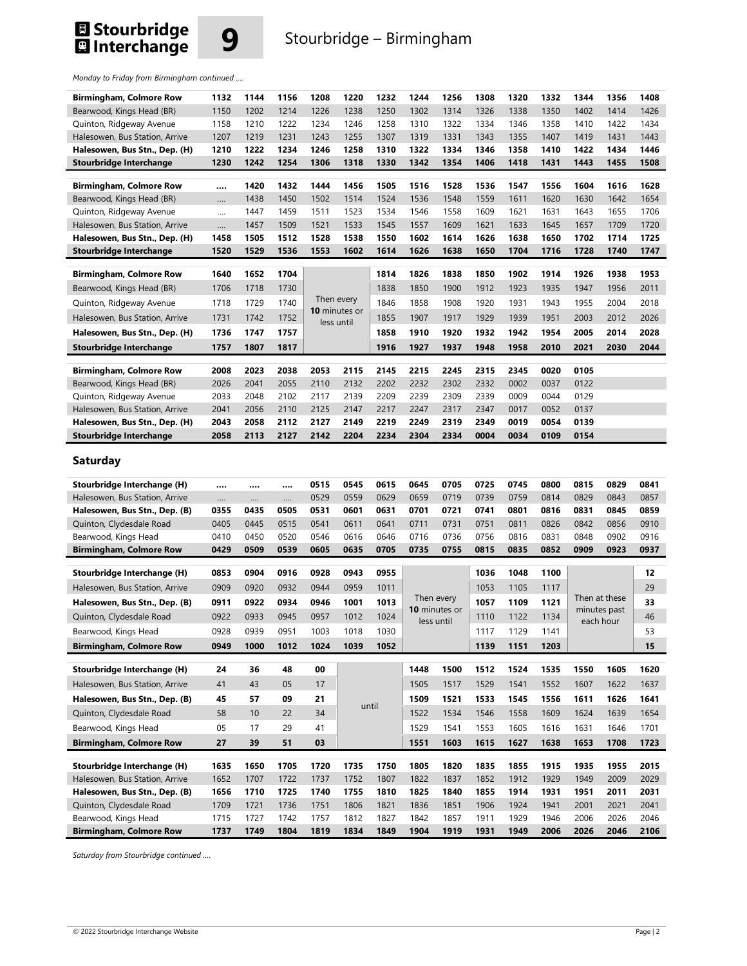## **El Stourbridge<br>El Interchange**



## **9** Stourbridge – Birmingham

*Monday to Friday from Birmingham continued ….* 

| <b>Birmingham, Colmore Row</b> | 1132 | 1144 | 1156 | 1208              | 1220        | 1232        | 1244        | 1256        | 1308        | 1320        | 1332 | 1344        | 1356 | 1408 |
|--------------------------------|------|------|------|-------------------|-------------|-------------|-------------|-------------|-------------|-------------|------|-------------|------|------|
| Bearwood, Kings Head (BR)      | 1150 | 1202 | 1214 | 1226              | 1238        | 1250        | 1302        | 1314        | 1326        | 1338        | 1350 | 1402        | 1414 | 1426 |
| Quinton, Ridgeway Avenue       | 1158 | 1210 | 1222 | 1234              | 1246        | 1258        | 1310        | 1322        | 1334        | 1346        | 1358 | 1410        | 1422 | 1434 |
| Halesowen, Bus Station, Arrive | 1207 | 1219 | 1231 | 1243              | 1255        | 1307        | 1319        | 1331        | 1343        | 1355        | 1407 | 1419        | 1431 | 1443 |
| Halesowen, Bus Stn., Dep. (H)  | 1210 | 1222 | 1234 | 1246              | 1258        | 1310        | 1322        | 1334        | 1346        | 1358        | 1410 | 1422        | 1434 | 1446 |
| <b>Stourbridge Interchange</b> | 1230 | 1242 | 1254 | 1306              | 1318        | 1330        | 1342        | 1354        | 1406        | 1418        | 1431 | 1443        | 1455 | 1508 |
|                                |      |      |      |                   |             |             |             |             |             |             |      |             |      |      |
| <b>Birmingham, Colmore Row</b> |      | 1420 | 1432 | 1444              | 1456        | 1505        | 1516        | 1528        | 1536        | 1547        | 1556 | 1604        | 1616 | 1628 |
| Bearwood, Kings Head (BR)      |      | 1438 | 1450 | 1502              | 1514        | 1524        | 1536        | 1548        | 1559        | 1611        | 1620 | 1630        | 1642 | 1654 |
| Quinton, Ridgeway Avenue       |      | 1447 | 1459 | 1511              | 1523        | 1534        | 1546        | 1558        | 1609        | 1621        | 1631 | 1643        | 1655 | 1706 |
| Halesowen, Bus Station, Arrive | .    | 1457 | 1509 | 1521              | 1533        | 1545        | 1557        | 1609        | 1621        | 1633        | 1645 | 1657        | 1709 | 1720 |
| Halesowen, Bus Stn., Dep. (H)  | 1458 | 1505 | 1512 | 1528              | 1538        | 1550        | 1602        | 1614        | 1626        | 1638        | 1650 | 1702        | 1714 | 1725 |
| <b>Stourbridge Interchange</b> | 1520 | 1529 | 1536 | 1553              | 1602        | 1614        | 1626        | 1638        | 1650        | 1704        | 1716 | 1728        | 1740 | 1747 |
| <b>Birmingham, Colmore Row</b> | 1640 | 1652 | 1704 |                   |             | 1814        | 1826        | 1838        | 1850        | 1902        | 1914 | 1926        | 1938 | 1953 |
|                                |      |      |      |                   |             |             |             |             |             |             |      |             |      |      |
| Bearwood, Kings Head (BR)      | 1706 | 1718 | 1730 | Then every        |             | 1838        | 1850        | 1900        | 1912        | 1923        | 1935 | 1947        | 1956 | 2011 |
| Quinton, Ridgeway Avenue       | 1718 | 1729 | 1740 | 10 minutes or     |             | 1846        | 1858        | 1908        | 1920        | 1931        | 1943 | 1955        | 2004 | 2018 |
| Halesowen, Bus Station, Arrive | 1731 | 1742 | 1752 | less until        |             | 1855        | 1907        | 1917        | 1929        | 1939        | 1951 | 2003        | 2012 | 2026 |
| Halesowen, Bus Stn., Dep. (H)  | 1736 | 1747 | 1757 |                   |             | 1858        | 1910        | 1920        | 1932        | 1942        | 1954 | 2005        | 2014 | 2028 |
| <b>Stourbridge Interchange</b> | 1757 | 1807 | 1817 |                   |             | 1916        | 1927        | 1937        | 1948        | 1958        | 2010 | 2021        | 2030 | 2044 |
|                                |      |      |      |                   |             |             |             |             |             |             |      |             |      |      |
| <b>Birmingham, Colmore Row</b> | 2008 | 2023 | 2038 | 2053              | 2115        | 2145        | 2215        | 2245        | 2315        | 2345        | 0020 | 0105        |      |      |
| Bearwood, Kings Head (BR)      | 2026 | 2041 | 2055 | 2110              | 2132        | 2202        | 2232        | 2302        | 2332        | 0002        | 0037 | 0122        |      |      |
| Quinton, Ridgeway Avenue       | 2033 | 2048 | 2102 | 2117              | 2139        | 2209        | 2239        | 2309        | 2339        | 0009        | 0044 | 0129        |      |      |
| Halesowen, Bus Station, Arrive | 2041 | 2056 | 2110 | 2125              | 2147        | 2217        | 2247        | 2317        | 2347        | 0017        | 0052 | 0137        |      |      |
| Halesowen, Bus Stn., Dep. (H)  | 2043 | 2058 | 2112 | 2127              | 2149        | 2219        | 2249        | 2319        | 2349        | 0019        | 0054 | 0139        |      |      |
| <b>Stourbridge Interchange</b> | 2058 | 2113 | 2127 | 2142              | 2204        | 2234        | 2304        | 2334        | 0004        | 0034        | 0109 | 0154        |      |      |
| Saturday                       |      |      |      |                   |             |             |             |             |             |             |      |             |      |      |
| Stourhridge Interchange (U)    |      |      |      | OE <sub>1</sub> E | <b>OEAE</b> | <b>0615</b> | <b>OGAE</b> | <b>070E</b> | <b>0725</b> | <b>0745</b> | nenn | <b>OR15</b> | 0920 | 0241 |

| Stourbridge Interchange (H)    |      |      |      | 0515 | 0545  | 0615 | 0645          | 0705         | 0725         | 0745 | 0800 | 0815 | 0829          | 0841 |
|--------------------------------|------|------|------|------|-------|------|---------------|--------------|--------------|------|------|------|---------------|------|
| Halesowen, Bus Station, Arrive |      |      |      | 0529 | 0559  | 0629 | 0659          | 0719         | 0739         | 0759 | 0814 | 0829 | 0843          | 0857 |
| Halesowen, Bus Stn., Dep. (B)  | 0355 | 0435 | 0505 | 0531 | 0601  | 0631 | 0701          | 0721         | 0741         | 0801 | 0816 | 0831 | 0845          | 0859 |
| Quinton, Clydesdale Road       | 0405 | 0445 | 0515 | 0541 | 0611  | 0641 | 0711          | 0731         | 0751         | 0811 | 0826 | 0842 | 0856          | 0910 |
| Bearwood, Kings Head           | 0410 | 0450 | 0520 | 0546 | 0616  | 0646 | 0716          | 0736         | 0756         | 0816 | 0831 | 0848 | 0902          | 0916 |
| <b>Birmingham, Colmore Row</b> | 0429 | 0509 | 0539 | 0605 | 0635  | 0705 | 0735          | 0755         | 0815         | 0835 | 0852 | 0909 | 0923          | 0937 |
| Stourbridge Interchange (H)    | 0853 | 0904 | 0916 | 0928 | 0943  | 0955 |               |              | 1036         | 1048 | 1100 |      |               | 12   |
| Halesowen, Bus Station, Arrive | 0909 | 0920 | 0932 | 0944 | 0959  | 1011 |               |              | 1053         | 1105 | 1117 |      |               | 29   |
|                                |      |      |      |      |       |      | Then every    |              |              |      |      |      | Then at these |      |
| Halesowen, Bus Stn., Dep. (B)  | 0911 | 0922 | 0934 | 0946 | 1001  | 1013 | 10 minutes or |              | 1057         | 1109 | 1121 |      | minutes past  | 33   |
| Quinton, Clydesdale Road       | 0922 | 0933 | 0945 | 0957 | 1012  | 1024 |               | less until   | 1110         | 1122 | 1134 |      | each hour     | 46   |
| Bearwood, Kings Head           | 0928 | 0939 | 0951 | 1003 | 1018  | 1030 |               |              | 1117         | 1129 | 1141 |      |               | 53   |
| <b>Birmingham, Colmore Row</b> | 0949 | 1000 | 1012 | 1024 | 1039  | 1052 |               |              | 1139         | 1151 | 1203 |      |               | 15   |
|                                |      |      |      |      |       |      |               |              |              |      |      |      |               |      |
|                                |      |      |      |      |       |      |               |              |              |      |      |      |               |      |
| Stourbridge Interchange (H)    | 24   | 36   | 48   | 00   |       |      | 1448          | 1500         | 1512         | 1524 | 1535 | 1550 | 1605          | 1620 |
| Halesowen, Bus Station, Arrive | 41   | 43   | 05   | 17   |       |      | 1505          | 1517         | 1529         | 1541 | 1552 | 1607 | 1622          | 1637 |
| Halesowen, Bus Stn., Dep. (B)  | 45   | 57   | 09   | 21   |       |      | 1509          | 1521         | 1533         | 1545 | 1556 | 1611 | 1626          | 1641 |
| Quinton, Clydesdale Road       | 58   | 10   | 22   | 34   | until |      | 1522          | 1534         | 1546         | 1558 | 1609 | 1624 | 1639          | 1654 |
| Bearwood, Kings Head           | 05   | 17   | 29   | 41   |       |      | 1529          | 1541         | 1553         | 1605 | 1616 | 1631 | 1646          | 1701 |
| <b>Birmingham, Colmore Row</b> | 27   | 39   | 51   | 03   |       |      | 1551          | 1603         | 1615         | 1627 | 1638 | 1653 | 1708          | 1723 |
|                                |      |      |      |      |       |      |               |              |              |      |      |      |               |      |
| Stourbridge Interchange (H)    | 1635 | 1650 | 1705 | 1720 | 1735  | 1750 | 1805          | 1820         | 1835         | 1855 | 1915 | 1935 | 1955          | 2015 |
| Halesowen, Bus Station, Arrive | 1652 | 1707 | 1722 | 1737 | 1752  | 1807 | 1822          | 1837         | 1852         | 1912 | 1929 | 1949 | 2009          | 2029 |
| Halesowen, Bus Stn., Dep. (B)  | 1656 | 1710 | 1725 | 1740 | 1755  | 1810 | 1825          | 1840         | 1855         | 1914 | 1931 | 1951 | 2011          | 2031 |
| Quinton, Clydesdale Road       | 1709 | 1721 | 1736 | 1751 | 1806  | 1821 | 1836          | 1851         | 1906         | 1924 | 1941 | 2001 | 2021          | 2041 |
| Bearwood, Kings Head           | 1715 | 1727 | 1742 | 1757 | 1812  | 1827 | 1842<br>1904  | 1857<br>1919 | 1911<br>1931 | 1929 | 1946 | 2006 | 2026          | 2046 |

*Saturday from Stourbridge continued ….*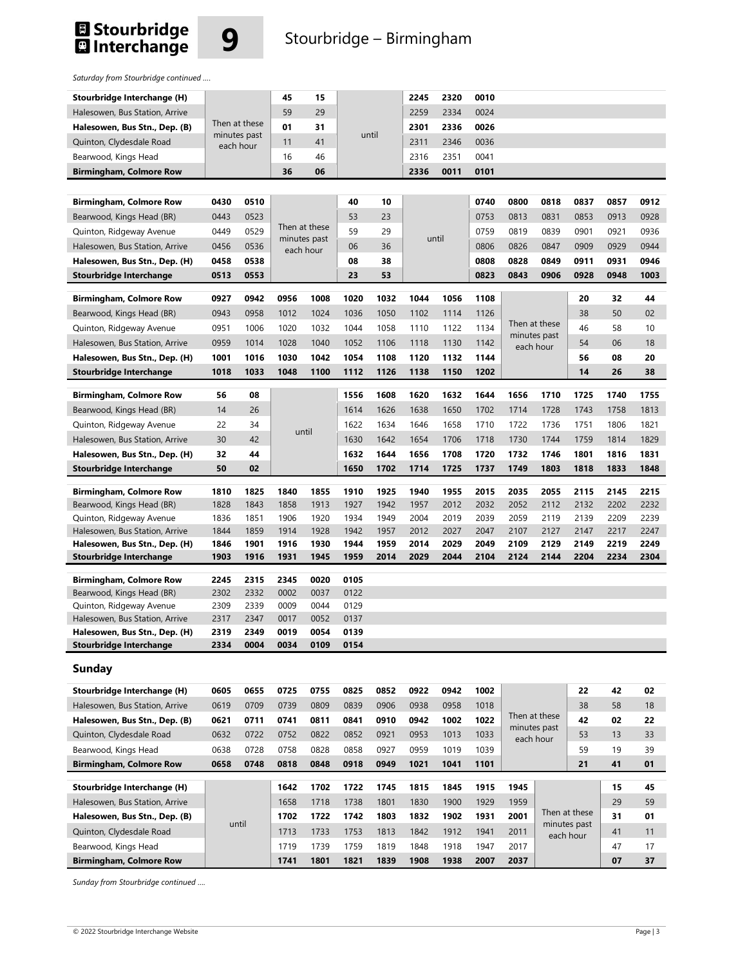



### **9** Stourbridge – Birmingham

*Saturday from Stourbridge continued ….* 

|                                                             |      |               | 45           | 15            |              |              | 2245         | 2320         | 0010         |               |              |               |          |          |
|-------------------------------------------------------------|------|---------------|--------------|---------------|--------------|--------------|--------------|--------------|--------------|---------------|--------------|---------------|----------|----------|
| Stourbridge Interchange (H)                                 |      |               | 59           | 29            |              |              | 2259         | 2334         | 0024         |               |              |               |          |          |
| Halesowen, Bus Station, Arrive                              |      | Then at these | 01           | 31            |              |              | 2301         | 2336         | 0026         |               |              |               |          |          |
| Halesowen, Bus Stn., Dep. (B)                               |      | minutes past  |              |               |              | until        |              |              |              |               |              |               |          |          |
| Quinton, Clydesdale Road                                    |      | each hour     | 11           | 41            |              |              | 2311         | 2346         | 0036         |               |              |               |          |          |
| Bearwood, Kings Head                                        |      |               | 16           | 46            |              |              | 2316         | 2351         | 0041         |               |              |               |          |          |
| <b>Birmingham, Colmore Row</b>                              |      |               | 36           | 06            |              |              | 2336         | 0011         | 0101         |               |              |               |          |          |
|                                                             |      |               |              |               |              |              |              |              |              |               |              |               |          |          |
| <b>Birmingham, Colmore Row</b>                              | 0430 | 0510          |              |               | 40           | 10           |              |              | 0740         | 0800          | 0818         | 0837          | 0857     | 0912     |
| Bearwood, Kings Head (BR)                                   | 0443 | 0523          |              | Then at these | 53           | 23           |              |              | 0753         | 0813          | 0831         | 0853          | 0913     | 0928     |
| Quinton, Ridgeway Avenue                                    | 0449 | 0529          |              | minutes past  | 59           | 29           |              | until        | 0759         | 0819          | 0839         | 0901          | 0921     | 0936     |
| Halesowen, Bus Station, Arrive                              | 0456 | 0536          |              | each hour     | 06           | 36           |              |              | 0806         | 0826          | 0847         | 0909          | 0929     | 0944     |
| Halesowen, Bus Stn., Dep. (H)                               | 0458 | 0538          |              |               | 08           | 38           |              |              | 0808         | 0828          | 0849         | 0911          | 0931     | 0946     |
| Stourbridge Interchange                                     | 0513 | 0553          |              |               | 23           | 53           |              |              | 0823         | 0843          | 0906         | 0928          | 0948     | 1003     |
| <b>Birmingham, Colmore Row</b>                              | 0927 | 0942          | 0956         | 1008          | 1020         | 1032         | 1044         | 1056         | 1108         |               |              | 20            | 32       | 44       |
| Bearwood, Kings Head (BR)                                   | 0943 | 0958          | 1012         | 1024          | 1036         | 1050         | 1102         | 1114         | 1126         |               |              | 38            | 50       | 02       |
| Quinton, Ridgeway Avenue                                    | 0951 | 1006          | 1020         | 1032          | 1044         | 1058         | 1110         | 1122         | 1134         | Then at these |              | 46            | 58       | 10       |
| Halesowen, Bus Station, Arrive                              | 0959 | 1014          | 1028         | 1040          | 1052         | 1106         | 1118         | 1130         | 1142         |               | minutes past | 54            | 06       | 18       |
| Halesowen, Bus Stn., Dep. (H)                               | 1001 | 1016          | 1030         | 1042          | 1054         | 1108         | 1120         | 1132         | 1144         |               | each hour    | 56            | 08       | 20       |
| <b>Stourbridge Interchange</b>                              | 1018 | 1033          | 1048         | 1100          | 1112         | 1126         | 1138         | 1150         | 1202         |               |              | 14            | 26       | 38       |
|                                                             |      |               |              |               |              |              |              |              |              |               |              |               |          |          |
| <b>Birmingham, Colmore Row</b>                              | 56   | 08            |              |               | 1556         | 1608         | 1620         | 1632         | 1644         | 1656          | 1710         | 1725          | 1740     | 1755     |
| Bearwood, Kings Head (BR)                                   | 14   | 26            |              |               | 1614         | 1626         | 1638         | 1650         | 1702         | 1714          | 1728         | 1743          | 1758     | 1813     |
| Quinton, Ridgeway Avenue                                    | 22   | 34            |              |               | 1622         | 1634         | 1646         | 1658         | 1710         | 1722          | 1736         | 1751          | 1806     | 1821     |
| Halesowen, Bus Station, Arrive                              | 30   | 42            |              | until         | 1630         | 1642         | 1654         | 1706         | 1718         | 1730          | 1744         | 1759          | 1814     | 1829     |
| Halesowen, Bus Stn., Dep. (H)                               | 32   | 44            |              |               | 1632         | 1644         | 1656         | 1708         | 1720         | 1732          | 1746         | 1801          | 1816     | 1831     |
| Stourbridge Interchange                                     | 50   | 02            |              |               | 1650         | 1702         | 1714         | 1725         | 1737         | 1749          | 1803         | 1818          | 1833     | 1848     |
| <b>Birmingham, Colmore Row</b>                              | 1810 | 1825          | 1840         | 1855          | 1910         | 1925         | 1940         | 1955         | 2015         | 2035          | 2055         | 2115          | 2145     | 2215     |
| Bearwood, Kings Head (BR)                                   | 1828 | 1843          | 1858         | 1913          | 1927         | 1942         | 1957         | 2012         | 2032         | 2052          | 2112         | 2132          | 2202     | 2232     |
| Quinton, Ridgeway Avenue                                    | 1836 | 1851          | 1906         | 1920          | 1934         | 1949         | 2004         | 2019         | 2039         | 2059          | 2119         | 2139          | 2209     | 2239     |
| Halesowen, Bus Station, Arrive                              | 1844 | 1859          | 1914         | 1928          | 1942         | 1957         | 2012         | 2027         | 2047         | 2107          | 2127         | 2147          | 2217     | 2247     |
| Halesowen, Bus Stn., Dep. (H)                               | 1846 | 1901          | 1916         | 1930          | 1944         | 1959         | 2014         | 2029         | 2049         | 2109          | 2129         | 2149          | 2219     | 2249     |
| Stourbridge Interchange                                     | 1903 | 1916          | 1931         | 1945          | 1959         | 2014         | 2029         | 2044         | 2104         | 2124          | 2144         | 2204          | 2234     | 2304     |
|                                                             | 2245 | 2315          | 2345         | 0020          | 0105         |              |              |              |              |               |              |               |          |          |
| <b>Birmingham, Colmore Row</b><br>Bearwood, Kings Head (BR) | 2302 | 2332          | 0002         | 0037          | 0122         |              |              |              |              |               |              |               |          |          |
| Quinton, Ridgeway Avenue                                    | 2309 | 2339          | 0009         | 0044          | 0129         |              |              |              |              |               |              |               |          |          |
| Halesowen, Bus Station, Arrive                              | 2317 | 2347          | 0017         | 0052          | 0137         |              |              |              |              |               |              |               |          |          |
| Halesowen, Bus Stn., Dep. (H)                               | 2319 | 2349          | 0019         | 0054          | 0139         |              |              |              |              |               |              |               |          |          |
| <b>Stourbridge Interchange</b>                              | 2334 | 0004          | 0034         | 0109          | 0154         |              |              |              |              |               |              |               |          |          |
| <b>Sunday</b>                                               |      |               |              |               |              |              |              |              |              |               |              |               |          |          |
| Stourbridge Interchange (H)                                 | 0605 | 0655          | 0725         | 0755          | 0825         | 0852         | 0922         | 0942         | 1002         |               |              | 22            | 42       | 02       |
| Halesowen, Bus Station, Arrive                              | 0619 | 0709          | 0739         | 0809          | 0839         | 0906         | 0938         | 0958         | 1018         |               |              | 38            | 58       | 18       |
| Halesowen, Bus Stn., Dep. (B)                               | 0621 | 0711          | 0741         | 0811          | 0841         | 0910         | 0942         | 1002         | 1022         | Then at these |              | 42            | 02       | 22       |
| Quinton, Clydesdale Road                                    | 0632 | 0722          | 0752         | 0822          | 0852         | 0921         | 0953         | 1013         | 1033         | each hour     | minutes past | 53            | 13       | 33       |
| Bearwood, Kings Head                                        | 0638 | 0728          | 0758         | 0828          | 0858         | 0927         | 0959         | 1019         | 1039         |               |              | 59            | 19       | 39       |
| <b>Birmingham, Colmore Row</b>                              | 0658 | 0748          | 0818         | 0848          | 0918         | 0949         | 1021         | 1041         | 1101         |               |              | 21            | 41       | 01       |
|                                                             |      |               |              |               |              |              |              |              |              |               |              |               |          |          |
| Stourbridge Interchange (H)                                 |      |               | 1642<br>1658 | 1702<br>1718  | 1722<br>1738 | 1745<br>1801 | 1815<br>1830 | 1845<br>1900 | 1915<br>1929 | 1945<br>1959  |              |               | 15<br>29 | 45<br>59 |
| Halesowen, Bus Station, Arrive                              |      |               |              |               |              |              |              |              |              | 2001          |              | Then at these | 31       |          |
| Halesowen, Bus Stn., Dep. (B)                               |      | until         | 1702         | 1722          | 1742         | 1803         | 1832         | 1902         | 1931         |               |              | minutes past  |          | 01       |
| Quinton, Clydesdale Road                                    |      |               | 1713         | 1733          | 1753         | 1813         | 1842         | 1912         | 1941         | 2011          |              | each hour     | 41       | 11       |
| Bearwood, Kings Head                                        |      |               | 1719         | 1739          | 1759         | 1819         | 1848         | 1918         | 1947         | 2017          |              |               | 47       | 17       |
| <b>Birmingham, Colmore Row</b>                              |      |               | 1741         | 1801          | 1821         | 1839         | 1908         | 1938         | 2007         | 2037          |              |               | 07       | 37       |

*Sunday from Stourbridge continued ….*